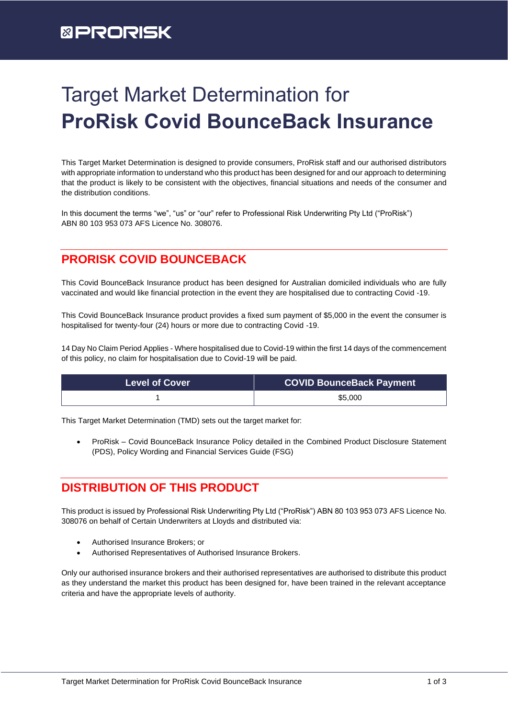# **EPRORISK**

# Target Market Determination for **ProRisk Covid BounceBack Insurance**

This Target Market Determination is designed to provide consumers, ProRisk staff and our authorised distributors with appropriate information to understand who this product has been designed for and our approach to determining that the product is likely to be consistent with the objectives, financial situations and needs of the consumer and the distribution conditions.

In this document the terms "we", "us" or "our" refer to Professional Risk Underwriting Pty Ltd ("ProRisk") ABN 80 103 953 073 AFS Licence No. 308076.

## **PRORISK COVID BOUNCEBACK**

This Covid BounceBack Insurance product has been designed for Australian domiciled individuals who are fully vaccinated and would like financial protection in the event they are hospitalised due to contracting Covid -19.

This Covid BounceBack Insurance product provides a fixed sum payment of \$5,000 in the event the consumer is hospitalised for twenty-four (24) hours or more due to contracting Covid -19.

14 Day No Claim Period Applies - Where hospitalised due to Covid-19 within the first 14 days of the commencement of this policy, no claim for hospitalisation due to Covid-19 will be paid.

| <b>Level of Cover</b> | <b>COVID BounceBack Payment</b> |
|-----------------------|---------------------------------|
|                       | \$5,000                         |

This Target Market Determination (TMD) sets out the target market for:

• ProRisk – Covid BounceBack Insurance Policy detailed in the Combined Product Disclosure Statement (PDS), Policy Wording and Financial Services Guide (FSG)

### **DISTRIBUTION OF THIS PRODUCT**

This product is issued by Professional Risk Underwriting Pty Ltd ("ProRisk") ABN 80 103 953 073 AFS Licence No. 308076 on behalf of Certain Underwriters at Lloyds and distributed via:

- Authorised Insurance Brokers; or
- Authorised Representatives of Authorised Insurance Brokers.

Only our authorised insurance brokers and their authorised representatives are authorised to distribute this product as they understand the market this product has been designed for, have been trained in the relevant acceptance criteria and have the appropriate levels of authority.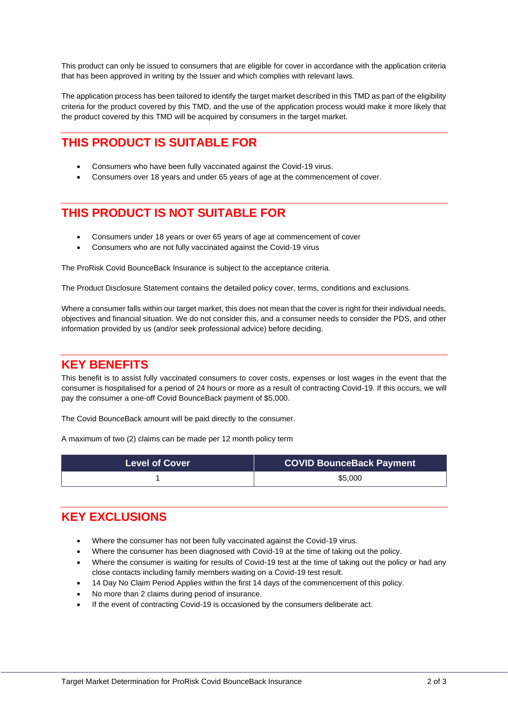This product can only be issued to consumers that are eligible for cover in accordance with the application criteria that has been approved in writing by the Issuer and which complies with relevant laws.

The application process has been tailored to identify the target market described in this TMD as part of the eligibility criteria for the product covered by this TMD, and the use of the application process would make it more likely that the product covered by this TMD will be acquired by consumers in the target market.

### **THIS PRODUCT IS SUITABLE FOR**

- Consumers who have been fully vaccinated against the Covid-19 virus.
- Consumers over 18 years and under 65 years of age at the commencement of cover.

### **THIS PRODUCT IS NOT SUITABLE FOR**

- Consumers under 18 years or over 65 years of age at commencement of cover
- Consumers who are not fully vaccinated against the Covid-19 virus

The ProRisk Covid BounceBack Insurance is subject to the acceptance criteria.

The Product Disclosure Statement contains the detailed policy cover, terms, conditions and exclusions.

Where a consumer falls within our target market, this does not mean that the cover is right for their individual needs, objectives and financial situation. We do not consider this, and a consumer needs to consider the PDS, and other information provided by us (and/or seek professional advice) before deciding.

#### **KEY BENEFITS**

This benefit is to assist fully vaccinated consumers to cover costs, expenses or lost wages in the event that the consumer is hospitalised for a period of 24 hours or more as a result of contracting Covid-19. If this occurs, we will pay the consumer a one-off Covid BounceBack payment of \$5,000.

The Covid BounceBack amount will be paid directly to the consumer.

A maximum of two (2) claims can be made per 12 month policy term

| <b>Level of Cover</b> | <b>COVID BounceBack Payment</b> |
|-----------------------|---------------------------------|
|                       | \$5,000                         |

#### **KEY EXCLUSIONS**

- Where the consumer has not been fully vaccinated against the Covid-19 virus.
- Where the consumer has been diagnosed with Covid-19 at the time of taking out the policy.
- Where the consumer is waiting for results of Covid-19 test at the time of taking out the policy or had any close contacts including family members waiting on a Covid-19 test result.
- 14 Day No Claim Period Applies within the first 14 days of the commencement of this policy.
- No more than 2 claims during period of insurance.
- If the event of contracting Covid-19 is occasioned by the consumers deliberate act.